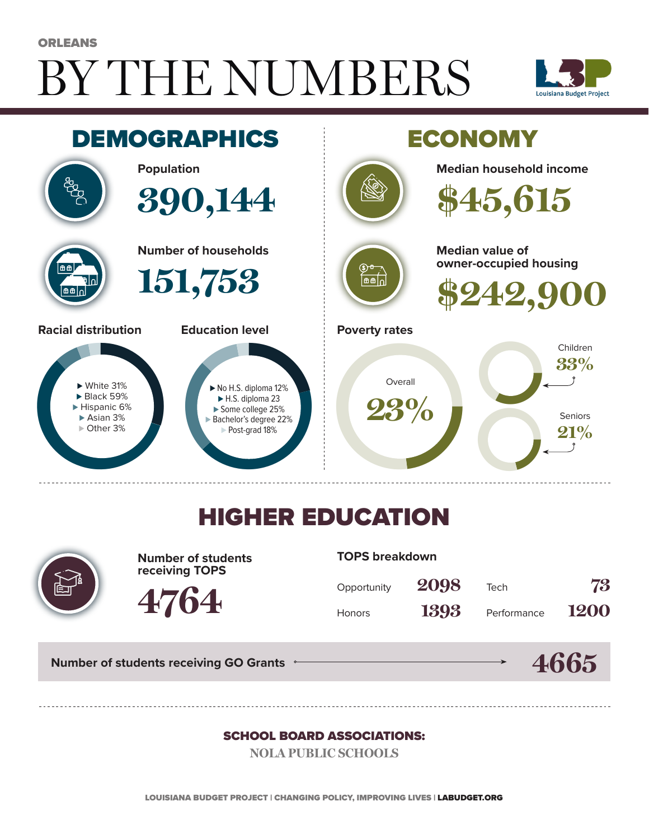# BY THE NUMBERS **ORLEANS**





### HIGHER EDUCATION



**Number of students receiving TOPS**

**4764**

#### **TOPS breakdown**

| Opportunity   | 2098 | Tech        | 73   |
|---------------|------|-------------|------|
| <b>Honors</b> | 1393 | Performance | 1200 |

**Number of students receiving GO Grants**

#### **4665**

#### SCHOOL BOARD ASSOCIATIONS:

**NOLA PUBLIC SCHOOLS**